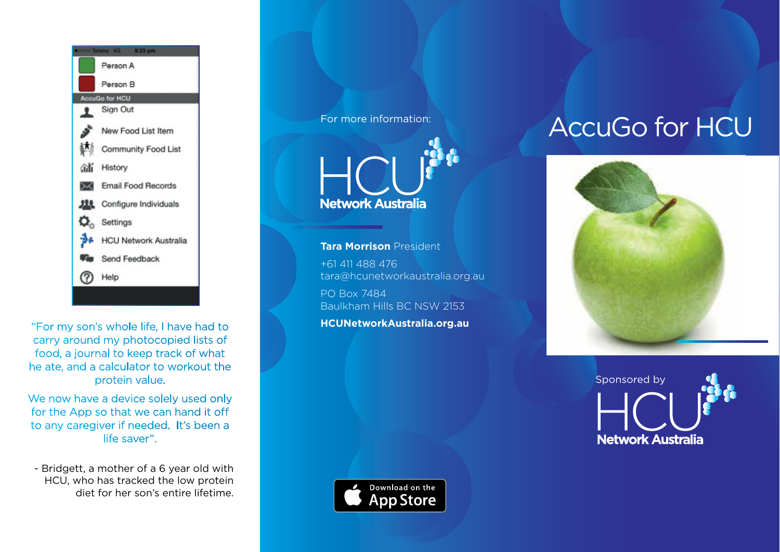

"For my son's whole life, I have had to carry around my photocopied lists of food, a journal to keep track of what he ate, and a calculator to workout the protein value.

We now have a device solely used only for the App so that we can hand it off to any caregiver if needed. It's been a life saver".

- Bridgett, a mother of a 6 year old with HCU, who has tracked the low protein diet for her son's entire lifetime.

For more information:



**Tara Morrison** President +61 411 488 476 tara@hcunetworkaustralia.org.au

PO Box 7484 Baulkham Hills BC NSW 2153

**HCUNetworkAustralia.org.au**

# AccuGo for HCU